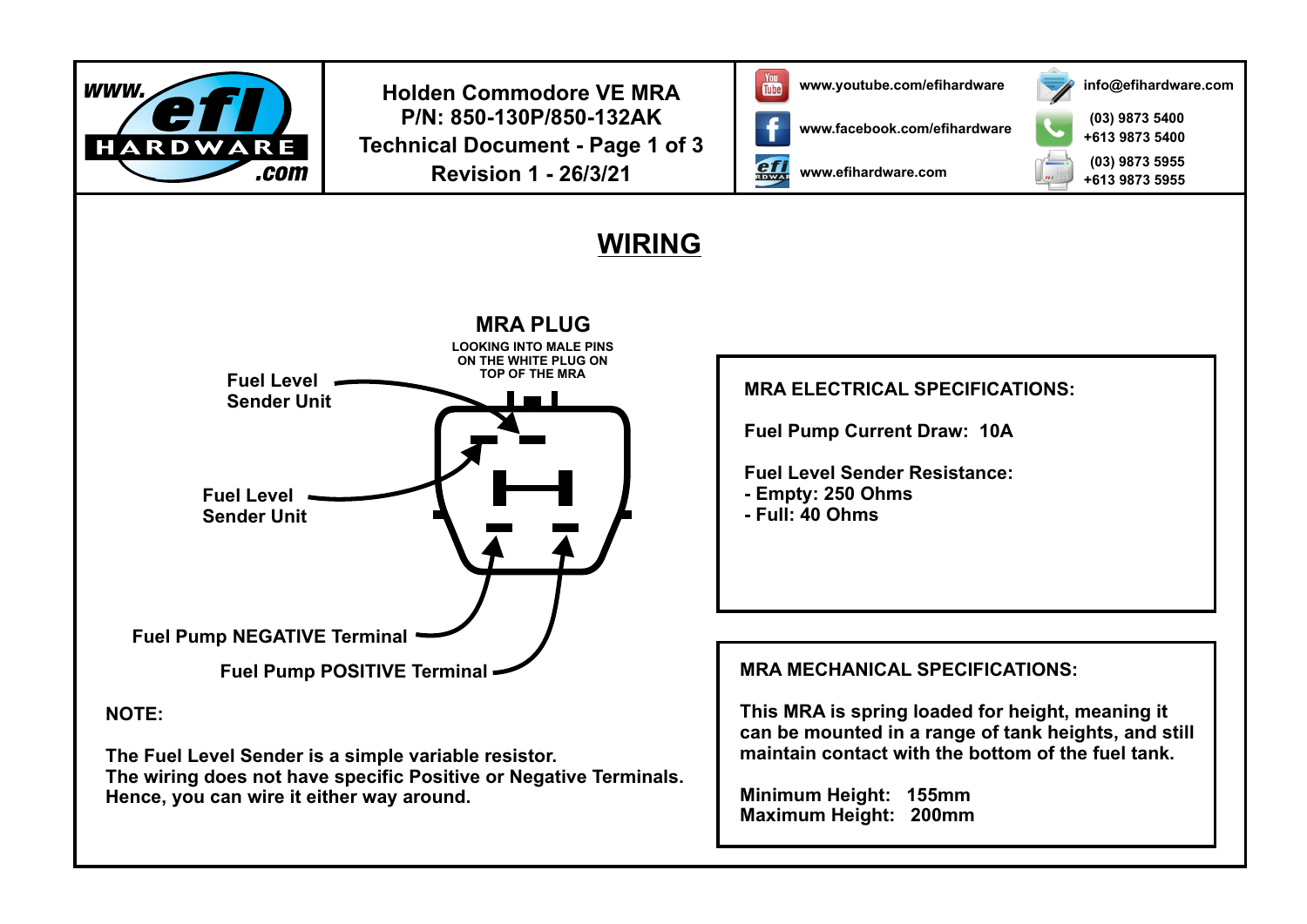

**Holden Commodore VE MRA In the US WAV** www.youtube.com/efihardware **P/N: 850-130P/850-132AK Technical Document - Page 1 of 3 Revision 1 - 26/3/21**



**ef** 

**www.efihardware.com**

**www.facebook.com/efihardware**



**(03) 9873 5400 (03) 9873 5955 +613 9873 5400 +613 9873 5955**

**info@efihardware.com**

## **WIRING**



**NOTE:**

**The Fuel Level Sender is a simple variable resistor. The wiring does not have specific Positive or Negative Terminals. Hence, you can wire it either way around.**

**MRA ELECTRICAL SPECIFICATIONS:**

**Fuel Pump Current Draw: 10A**

**Fuel Level Sender Resistance:**

**- Empty: 250 Ohms**

**- Full: 40 Ohms**

## **MRA MECHANICAL SPECIFICATIONS:**

**This MRA is spring loaded for height, meaning it can be mounted in a range of tank heights, and still maintain contact with the bottom of the fuel tank.**

**Minimum Height: 155mm Maximum Height: 200mm**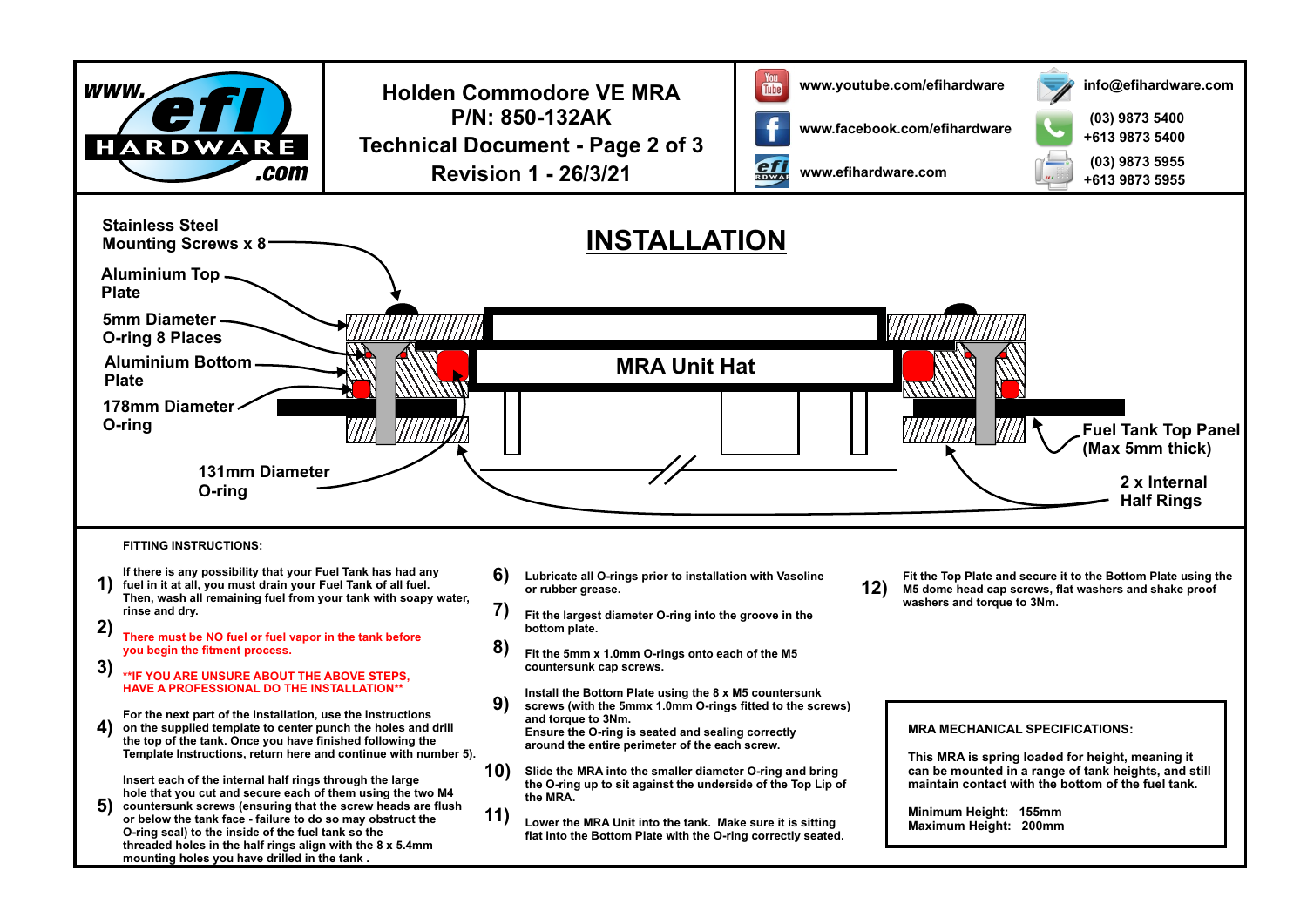